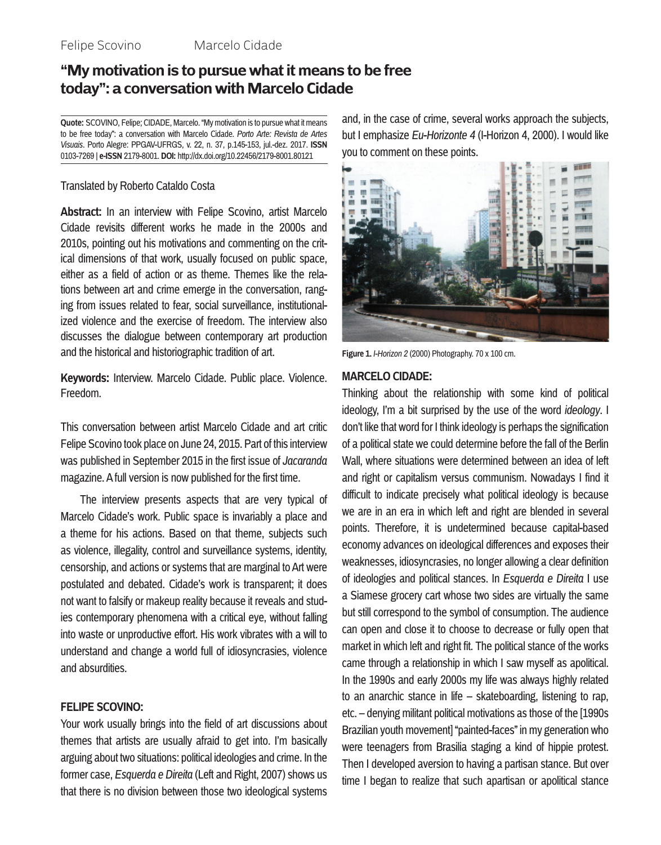#### Felipe Scovino Marcelo Cidade

## **"My motivation is to pursue what it means to be free today": a conversation with Marcelo Cidade**

**Quote:** SCOVINO, Felipe; CIDADE, Marcelo. "My motivation is to pursue what it means to be free today": a conversation with Marcelo Cidade. *Porto Arte: Revista de Artes Visuais*. Porto Alegre: PPGAV-UFRGS, v. 22, n. 37, p.145-153, jul.-dez. 2017. **ISSN** 0103-7269 | **e-ISSN** 2179-8001. **DOI:** http://dx.doi.org/10.22456/2179-8001.80121

#### Translated by Roberto Cataldo Costa

**Abstract:** In an interview with Felipe Scovino, artist Marcelo Cidade revisits different works he made in the 2000s and 2010s, pointing out his motivations and commenting on the critical dimensions of that work, usually focused on public space, either as a field of action or as theme. Themes like the relations between art and crime emerge in the conversation, ranging from issues related to fear, social surveillance, institutionalized violence and the exercise of freedom. The interview also discusses the dialogue between contemporary art production and the historical and historiographic tradition of art.

**Keywords:** Interview. Marcelo Cidade. Public place. Violence. Freedom.

This conversation between artist Marcelo Cidade and art critic Felipe Scovino took place on June 24, 2015. Part of this interview was published in September 2015 in the first issue of *Jacaranda* magazine. A full version is now published for the first time.

The interview presents aspects that are very typical of Marcelo Cidade's work. Public space is invariably a place and a theme for his actions. Based on that theme, subjects such as violence, illegality, control and surveillance systems, identity, censorship, and actions or systems that are marginal to Art were postulated and debated. Cidade's work is transparent; it does not want to falsify or makeup reality because it reveals and studies contemporary phenomena with a critical eye, without falling into waste or unproductive effort. His work vibrates with a will to understand and change a world full of idiosyncrasies, violence and absurdities.

#### **FELIPE SCOVINO:**

Your work usually brings into the field of art discussions about themes that artists are usually afraid to get into. I'm basically arguing about two situations: political ideologies and crime. In the former case, *Esquerda e Direita* (Left and Right, 2007) shows us that there is no division between those two ideological systems and, in the case of crime, several works approach the subjects, but I emphasize *Eu-Horizonte 4* (I-Horizon 4, 2000). I would like you to comment on these points.



**Figure 1.** *I-Horizon 2* (2000) Photography. 70 x 100 cm.

#### **MARCELO CIDADE:**

Thinking about the relationship with some kind of political ideology, I'm a bit surprised by the use of the word *ideology*. I don't like that word for I think ideology is perhaps the signification of a political state we could determine before the fall of the Berlin Wall, where situations were determined between an idea of left and right or capitalism versus communism. Nowadays I find it difficult to indicate precisely what political ideology is because we are in an era in which left and right are blended in several points. Therefore, it is undetermined because capital-based economy advances on ideological differences and exposes their weaknesses, idiosyncrasies, no longer allowing a clear definition of ideologies and political stances. In *Esquerda e Direita* I use a Siamese grocery cart whose two sides are virtually the same but still correspond to the symbol of consumption. The audience can open and close it to choose to decrease or fully open that market in which left and right fit. The political stance of the works came through a relationship in which I saw myself as apolitical. In the 1990s and early 2000s my life was always highly related to an anarchic stance in life – skateboarding, listening to rap, etc. – denying militant political motivations as those of the [1990s Brazilian youth movement] "painted-faces" in my generation who were teenagers from Brasilia staging a kind of hippie protest. Then I developed aversion to having a partisan stance. But over time I began to realize that such apartisan or apolitical stance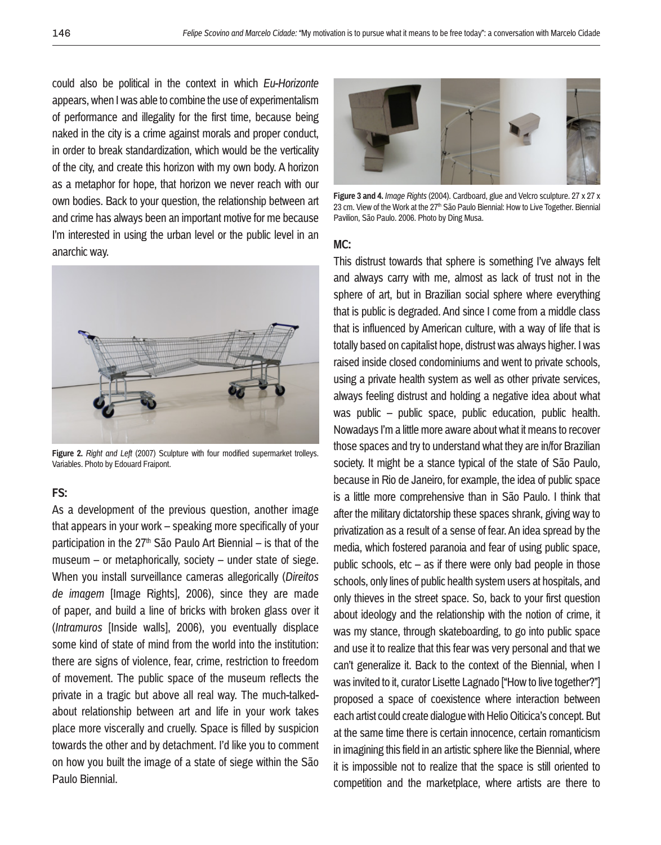could also be political in the context in which *Eu-Horizonte*  appears, when I was able to combine the use of experimentalism of performance and illegality for the first time, because being naked in the city is a crime against morals and proper conduct, in order to break standardization, which would be the verticality of the city, and create this horizon with my own body. A horizon as a metaphor for hope, that horizon we never reach with our own bodies. Back to your question, the relationship between art and crime has always been an important motive for me because I'm interested in using the urban level or the public level in an anarchic way.



**Figure 2.** *Right and Left* (2007) Sculpture with four modified supermarket trolleys. Variables. Photo by Edouard Fraipont.

#### **FS:**

As a development of the previous question, another image that appears in your work – speaking more specifically of your participation in the  $27<sup>th</sup>$  São Paulo Art Biennial – is that of the museum – or metaphorically, society – under state of siege. When you install surveillance cameras allegorically (*Direitos de imagem* [Image Rights], 2006), since they are made of paper, and build a line of bricks with broken glass over it (*Intramuros* [Inside walls], 2006), you eventually displace some kind of state of mind from the world into the institution: there are signs of violence, fear, crime, restriction to freedom of movement. The public space of the museum reflects the private in a tragic but above all real way. The much-talkedabout relationship between art and life in your work takes place more viscerally and cruelly. Space is filled by suspicion towards the other and by detachment. I'd like you to comment on how you built the image of a state of siege within the São Paulo Biennial.



**Figure 3 and 4.** *Image Rights* (2004). Cardboard, glue and Velcro sculpture. 27 x 27 x 23 cm. View of the Work at the 27<sup>th</sup> São Paulo Biennial: How to Live Together. Biennial Pavilion, São Paulo. 2006. Photo by Ding Musa.

#### **MC:**

This distrust towards that sphere is something I've always felt and always carry with me, almost as lack of trust not in the sphere of art, but in Brazilian social sphere where everything that is public is degraded. And since I come from a middle class that is influenced by American culture, with a way of life that is totally based on capitalist hope, distrust was always higher. I was raised inside closed condominiums and went to private schools, using a private health system as well as other private services, always feeling distrust and holding a negative idea about what was public – public space, public education, public health. Nowadays I'm a little more aware about what it means to recover those spaces and try to understand what they are in/for Brazilian society. It might be a stance typical of the state of São Paulo, because in Rio de Janeiro, for example, the idea of public space is a little more comprehensive than in São Paulo. I think that after the military dictatorship these spaces shrank, giving way to privatization as a result of a sense of fear. An idea spread by the media, which fostered paranoia and fear of using public space, public schools,  $etc - as$  if there were only bad people in those schools, only lines of public health system users at hospitals, and only thieves in the street space. So, back to your first question about ideology and the relationship with the notion of crime, it was my stance, through skateboarding, to go into public space and use it to realize that this fear was very personal and that we can't generalize it. Back to the context of the Biennial, when I was invited to it, curator Lisette Lagnado ["How to live together?"] proposed a space of coexistence where interaction between each artist could create dialogue with Helio Oiticica's concept. But at the same time there is certain innocence, certain romanticism in imagining this field in an artistic sphere like the Biennial, where it is impossible not to realize that the space is still oriented to competition and the marketplace, where artists are there to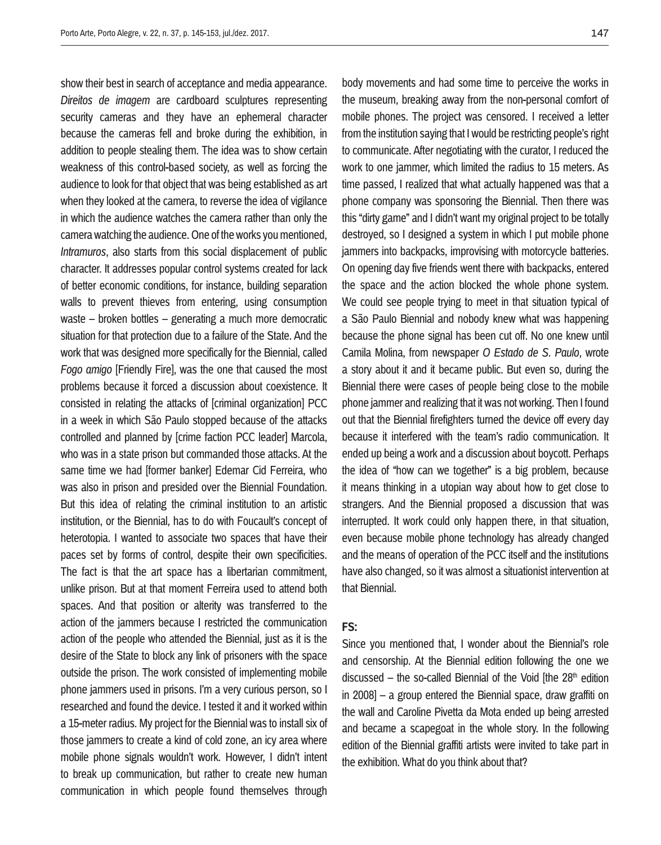show their best in search of acceptance and media appearance. *Direitos de imagem* are cardboard sculptures representing security cameras and they have an ephemeral character because the cameras fell and broke during the exhibition, in addition to people stealing them. The idea was to show certain weakness of this control-based society, as well as forcing the audience to look for that object that was being established as art when they looked at the camera, to reverse the idea of vigilance in which the audience watches the camera rather than only the camera watching the audience. One of the works you mentioned, *Intramuros*, also starts from this social displacement of public character. It addresses popular control systems created for lack of better economic conditions, for instance, building separation walls to prevent thieves from entering, using consumption waste – broken bottles – generating a much more democratic situation for that protection due to a failure of the State. And the work that was designed more specifically for the Biennial, called *Fogo amigo* [Friendly Fire], was the one that caused the most problems because it forced a discussion about coexistence. It consisted in relating the attacks of [criminal organization] PCC in a week in which São Paulo stopped because of the attacks controlled and planned by [crime faction PCC leader] Marcola, who was in a state prison but commanded those attacks. At the same time we had [former banker] Edemar Cid Ferreira, who was also in prison and presided over the Biennial Foundation. But this idea of relating the criminal institution to an artistic institution, or the Biennial, has to do with Foucault's concept of heterotopia. I wanted to associate two spaces that have their paces set by forms of control, despite their own specificities. The fact is that the art space has a libertarian commitment, unlike prison. But at that moment Ferreira used to attend both spaces. And that position or alterity was transferred to the action of the jammers because I restricted the communication action of the people who attended the Biennial, just as it is the desire of the State to block any link of prisoners with the space outside the prison. The work consisted of implementing mobile phone jammers used in prisons. I'm a very curious person, so I researched and found the device. I tested it and it worked within a 15-meter radius. My project for the Biennial was to install six of those jammers to create a kind of cold zone, an icy area where mobile phone signals wouldn't work. However, I didn't intent to break up communication, but rather to create new human communication in which people found themselves through

body movements and had some time to perceive the works in the museum, breaking away from the non-personal comfort of mobile phones. The project was censored. I received a letter from the institution saying that I would be restricting people's right to communicate. After negotiating with the curator, I reduced the work to one jammer, which limited the radius to 15 meters. As time passed, I realized that what actually happened was that a phone company was sponsoring the Biennial. Then there was this "dirty game" and I didn't want my original project to be totally destroyed, so I designed a system in which I put mobile phone jammers into backpacks, improvising with motorcycle batteries. On opening day five friends went there with backpacks, entered the space and the action blocked the whole phone system. We could see people trying to meet in that situation typical of a São Paulo Biennial and nobody knew what was happening because the phone signal has been cut off. No one knew until Camila Molina, from newspaper *O Estado de S. Paulo*, wrote a story about it and it became public. But even so, during the Biennial there were cases of people being close to the mobile phone jammer and realizing that it was not working. Then I found out that the Biennial firefighters turned the device off every day because it interfered with the team's radio communication. It ended up being a work and a discussion about boycott. Perhaps the idea of "how can we together" is a big problem, because it means thinking in a utopian way about how to get close to strangers. And the Biennial proposed a discussion that was interrupted. It work could only happen there, in that situation, even because mobile phone technology has already changed and the means of operation of the PCC itself and the institutions

# have also changed, so it was almost a situationist intervention at that Biennial.

## **FS:**

Since you mentioned that, I wonder about the Biennial's role and censorship. At the Biennial edition following the one we discussed – the so-called Biennial of the Void [the  $28<sup>th</sup>$  edition in 2008] – a group entered the Biennial space, draw graffiti on the wall and Caroline Pivetta da Mota ended up being arrested and became a scapegoat in the whole story. In the following edition of the Biennial graffiti artists were invited to take part in the exhibition. What do you think about that?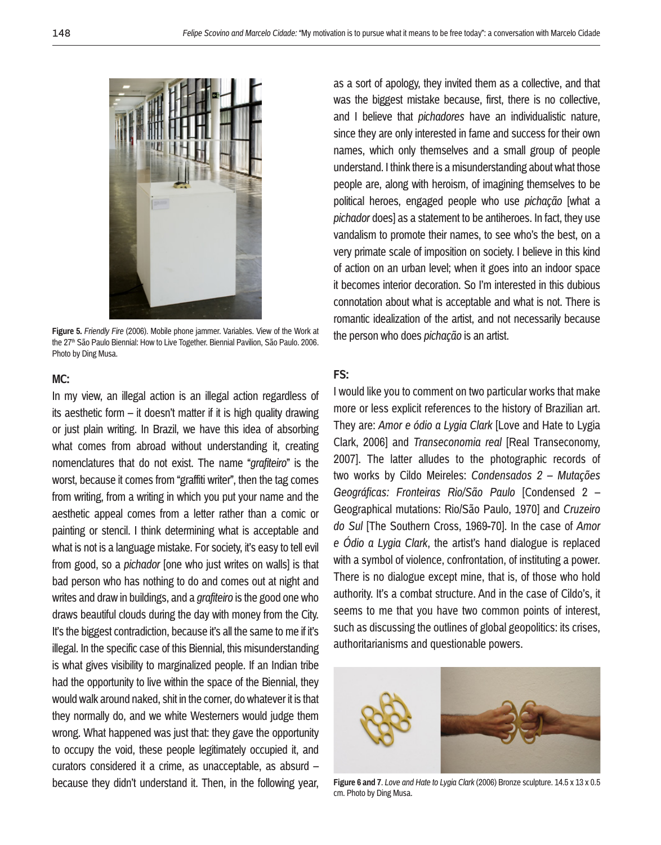

**Figure 5.** *Friendly Fire* (2006). Mobile phone jammer. Variables. View of the Work at the 27<sup>th</sup> São Paulo Biennial: How to Live Together. Biennial Pavilion, São Paulo. 2006. Photo by Ding Musa.

## **MC:**

In my view, an illegal action is an illegal action regardless of its aesthetic form – it doesn't matter if it is high quality drawing or just plain writing. In Brazil, we have this idea of absorbing what comes from abroad without understanding it, creating nomenclatures that do not exist. The name "*grafiteiro*" is the worst, because it comes from "graffiti writer", then the tag comes from writing, from a writing in which you put your name and the aesthetic appeal comes from a letter rather than a comic or painting or stencil. I think determining what is acceptable and what is not is a language mistake. For society, it's easy to tell evil from good, so a *pichador* [one who just writes on walls] is that bad person who has nothing to do and comes out at night and writes and draw in buildings, and a *grafiteiro* is the good one who draws beautiful clouds during the day with money from the City. It's the biggest contradiction, because it's all the same to me if it's illegal. In the specific case of this Biennial, this misunderstanding is what gives visibility to marginalized people. If an Indian tribe had the opportunity to live within the space of the Biennial, they would walk around naked, shit in the corner, do whatever it is that they normally do, and we white Westerners would judge them wrong. What happened was just that: they gave the opportunity to occupy the void, these people legitimately occupied it, and curators considered it a crime, as unacceptable, as absurd – because they didn't understand it. Then, in the following year,

as a sort of apology, they invited them as a collective, and that was the biggest mistake because, first, there is no collective, and I believe that *pichadores* have an individualistic nature, since they are only interested in fame and success for their own names, which only themselves and a small group of people understand. I think there is a misunderstanding about what those people are, along with heroism, of imagining themselves to be political heroes, engaged people who use *pichação* [what a *pichador* does] as a statement to be antiheroes. In fact, they use vandalism to promote their names, to see who's the best, on a very primate scale of imposition on society. I believe in this kind of action on an urban level; when it goes into an indoor space it becomes interior decoration. So I'm interested in this dubious connotation about what is acceptable and what is not. There is romantic idealization of the artist, and not necessarily because the person who does *pichação* is an artist.

## **FS:**

I would like you to comment on two particular works that make more or less explicit references to the history of Brazilian art. They are: *Amor e ódio a Lygia Clark* [Love and Hate to Lygia Clark, 2006] and *Transeconomia real* [Real Transeconomy, 2007]. The latter alludes to the photographic records of two works by Cildo Meireles: *Condensados 2 – Mutações Geográficas: Fronteiras Rio/São Paulo* [Condensed 2 – Geographical mutations: Rio/São Paulo, 1970] and *Cruzeiro do Sul* [The Southern Cross, 1969-70]. In the case of *Amor e Ódio a Lygia Clark*, the artist's hand dialogue is replaced with a symbol of violence, confrontation, of instituting a power. There is no dialogue except mine, that is, of those who hold authority. It's a combat structure. And in the case of Cildo's, it seems to me that you have two common points of interest, such as discussing the outlines of global geopolitics: its crises, authoritarianisms and questionable powers.



**Figure 6 and 7**. *Love and Hate to Lygia Clark* (2006) Bronze sculpture. 14.5 x 13 x 0.5 cm. Photo by Ding Musa.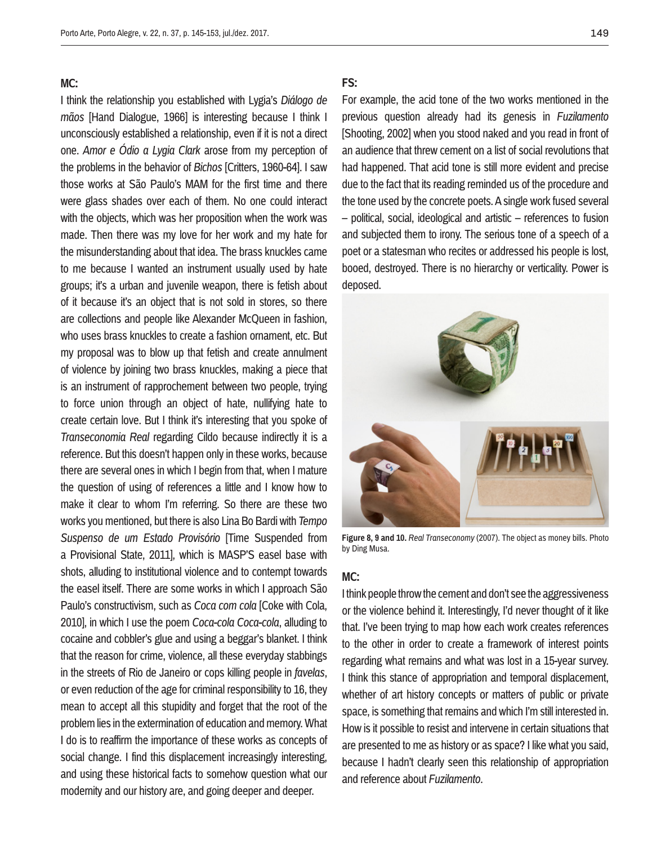#### **MC:**

I think the relationship you established with Lygia's *Diálogo de mãos* [Hand Dialogue, 1966] is interesting because I think I unconsciously established a relationship, even if it is not a direct one. *Amor e Ódio a Lygia Clark* arose from my perception of the problems in the behavior of *Bichos* [Critters, 1960-64]. I saw those works at São Paulo's MAM for the first time and there were glass shades over each of them. No one could interact with the objects, which was her proposition when the work was made. Then there was my love for her work and my hate for the misunderstanding about that idea. The brass knuckles came to me because I wanted an instrument usually used by hate groups; it's a urban and juvenile weapon, there is fetish about of it because it's an object that is not sold in stores, so there are collections and people like Alexander McQueen in fashion, who uses brass knuckles to create a fashion ornament, etc. But my proposal was to blow up that fetish and create annulment of violence by joining two brass knuckles, making a piece that is an instrument of rapprochement between two people, trying to force union through an object of hate, nullifying hate to create certain love. But I think it's interesting that you spoke of *Transeconomia Real* regarding Cildo because indirectly it is a reference. But this doesn't happen only in these works, because there are several ones in which I begin from that, when I mature the question of using of references a little and I know how to make it clear to whom I'm referring. So there are these two works you mentioned, but there is also Lina Bo Bardi with *Tempo Suspenso de um Estado Provisório* [Time Suspended from a Provisional State, 2011], which is MASP'S easel base with shots, alluding to institutional violence and to contempt towards the easel itself. There are some works in which I approach São Paulo's constructivism, such as *Coca com cola* [Coke with Cola, 2010], in which I use the poem *Coca-cola Coca-cola*, alluding to cocaine and cobbler's glue and using a beggar's blanket. I think that the reason for crime, violence, all these everyday stabbings in the streets of Rio de Janeiro or cops killing people in *favelas*, or even reduction of the age for criminal responsibility to 16, they mean to accept all this stupidity and forget that the root of the problem lies in the extermination of education and memory. What I do is to reaffirm the importance of these works as concepts of social change. I find this displacement increasingly interesting, and using these historical facts to somehow question what our modernity and our history are, and going deeper and deeper.

#### **FS:**

For example, the acid tone of the two works mentioned in the previous question already had its genesis in *Fuzilamento* [Shooting, 2002] when you stood naked and you read in front of an audience that threw cement on a list of social revolutions that had happened. That acid tone is still more evident and precise due to the fact that its reading reminded us of the procedure and the tone used by the concrete poets. A single work fused several – political, social, ideological and artistic – references to fusion and subjected them to irony. The serious tone of a speech of a poet or a statesman who recites or addressed his people is lost, booed, destroyed. There is no hierarchy or verticality. Power is deposed.



**Figure 8, 9 and 10.** *Real Transeconomy* (2007). The object as money bills. Photo by Ding Musa.

#### **MC:**

I think people throw the cement and don't see the aggressiveness or the violence behind it. Interestingly, I'd never thought of it like that. I've been trying to map how each work creates references to the other in order to create a framework of interest points regarding what remains and what was lost in a 15-year survey. I think this stance of appropriation and temporal displacement, whether of art history concepts or matters of public or private space, is something that remains and which I'm still interested in. How is it possible to resist and intervene in certain situations that are presented to me as history or as space? I like what you said, because I hadn't clearly seen this relationship of appropriation and reference about *Fuzilamento*.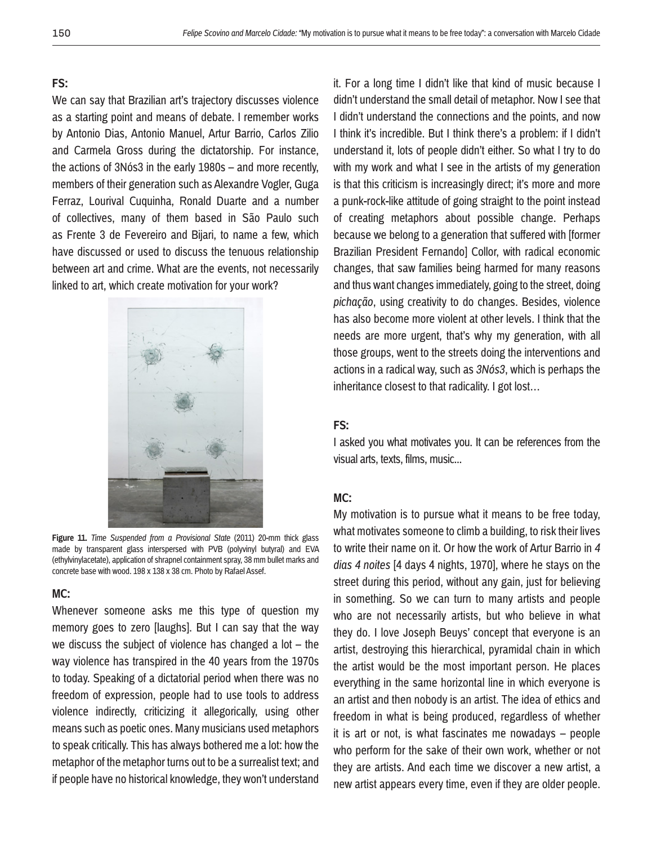#### **FS:**

We can say that Brazilian art's trajectory discusses violence as a starting point and means of debate. I remember works by Antonio Dias, Antonio Manuel, Artur Barrio, Carlos Zilio and Carmela Gross during the dictatorship. For instance, the actions of 3Nós3 in the early 1980s – and more recently, members of their generation such as Alexandre Vogler, Guga Ferraz, Lourival Cuquinha, Ronald Duarte and a number of collectives, many of them based in São Paulo such as Frente 3 de Fevereiro and Bijari, to name a few, which have discussed or used to discuss the tenuous relationship between art and crime. What are the events, not necessarily linked to art, which create motivation for your work?



**Figure 11.** *Time Suspended from a Provisional State* (2011) 20-mm thick glass made by transparent glass interspersed with PVB (polyvinyl butyral) and EVA (ethylvinylacetate), application of shrapnel containment spray, 38 mm bullet marks and concrete base with wood. 198 x 138 x 38 cm. Photo by Rafael Assef.

## **MC:**

Whenever someone asks me this type of question my memory goes to zero [laughs]. But I can say that the way we discuss the subject of violence has changed a lot  $-$  the way violence has transpired in the 40 years from the 1970s to today. Speaking of a dictatorial period when there was no freedom of expression, people had to use tools to address violence indirectly, criticizing it allegorically, using other means such as poetic ones. Many musicians used metaphors to speak critically. This has always bothered me a lot: how the metaphor of the metaphor turns out to be a surrealist text; and if people have no historical knowledge, they won't understand

it. For a long time I didn't like that kind of music because I didn't understand the small detail of metaphor. Now I see that I didn't understand the connections and the points, and now I think it's incredible. But I think there's a problem: if I didn't understand it, lots of people didn't either. So what I try to do with my work and what I see in the artists of my generation is that this criticism is increasingly direct; it's more and more a punk-rock-like attitude of going straight to the point instead of creating metaphors about possible change. Perhaps because we belong to a generation that suffered with [former Brazilian President Fernando] Collor, with radical economic changes, that saw families being harmed for many reasons and thus want changes immediately, going to the street, doing *pichação*, using creativity to do changes. Besides, violence has also become more violent at other levels. I think that the needs are more urgent, that's why my generation, with all those groups, went to the streets doing the interventions and actions in a radical way, such as *3Nós3*, which is perhaps the inheritance closest to that radicality. I got lost…

#### **FS:**

I asked you what motivates you. It can be references from the visual arts, texts, films, music...

#### **MC:**

My motivation is to pursue what it means to be free today, what motivates someone to climb a building, to risk their lives to write their name on it. Or how the work of Artur Barrio in *4 dias 4 noites* [4 days 4 nights, 1970], where he stays on the street during this period, without any gain, just for believing in something. So we can turn to many artists and people who are not necessarily artists, but who believe in what they do. I love Joseph Beuys' concept that everyone is an artist, destroying this hierarchical, pyramidal chain in which the artist would be the most important person. He places everything in the same horizontal line in which everyone is an artist and then nobody is an artist. The idea of ethics and freedom in what is being produced, regardless of whether it is art or not, is what fascinates me nowadays – people who perform for the sake of their own work, whether or not they are artists. And each time we discover a new artist, a new artist appears every time, even if they are older people.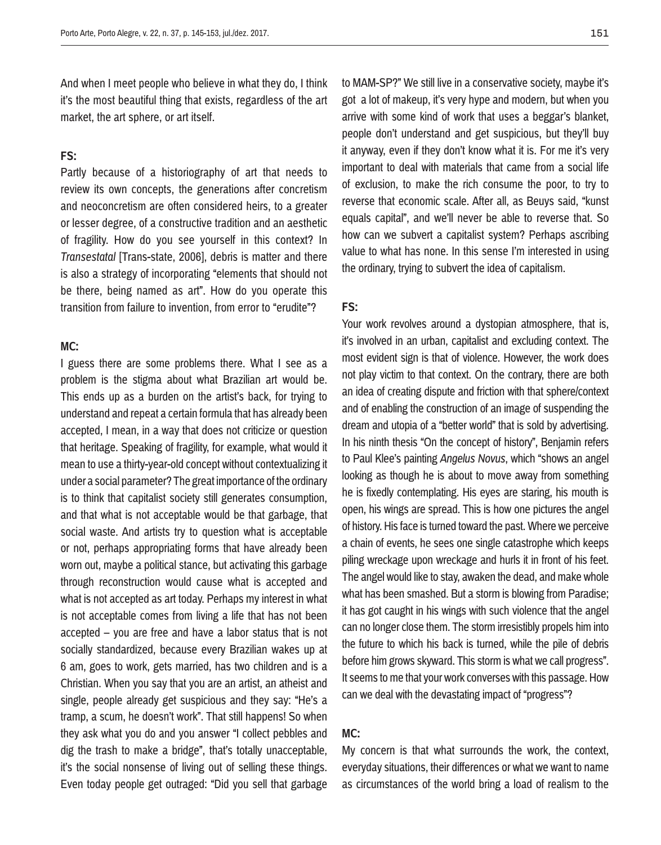And when I meet people who believe in what they do, I think it's the most beautiful thing that exists, regardless of the art market, the art sphere, or art itself.

## **FS:**

Partly because of a historiography of art that needs to review its own concepts, the generations after concretism and neoconcretism are often considered heirs, to a greater or lesser degree, of a constructive tradition and an aesthetic of fragility. How do you see yourself in this context? In *Transestatal* [Trans-state, 2006], debris is matter and there is also a strategy of incorporating "elements that should not be there, being named as art". How do you operate this transition from failure to invention, from error to "erudite"?

## **MC:**

I guess there are some problems there. What I see as a problem is the stigma about what Brazilian art would be. This ends up as a burden on the artist's back, for trying to understand and repeat a certain formula that has already been accepted, I mean, in a way that does not criticize or question that heritage. Speaking of fragility, for example, what would it mean to use a thirty-year-old concept without contextualizing it under a social parameter? The great importance of the ordinary is to think that capitalist society still generates consumption, and that what is not acceptable would be that garbage, that social waste. And artists try to question what is acceptable or not, perhaps appropriating forms that have already been worn out, maybe a political stance, but activating this garbage through reconstruction would cause what is accepted and what is not accepted as art today. Perhaps my interest in what is not acceptable comes from living a life that has not been accepted – you are free and have a labor status that is not socially standardized, because every Brazilian wakes up at 6 am, goes to work, gets married, has two children and is a Christian. When you say that you are an artist, an atheist and single, people already get suspicious and they say: "He's a tramp, a scum, he doesn't work". That still happens! So when they ask what you do and you answer "I collect pebbles and dig the trash to make a bridge", that's totally unacceptable, it's the social nonsense of living out of selling these things. Even today people get outraged: "Did you sell that garbage to MAM-SP?" We still live in a conservative society, maybe it's got a lot of makeup, it's very hype and modern, but when you arrive with some kind of work that uses a beggar's blanket, people don't understand and get suspicious, but they'll buy it anyway, even if they don't know what it is. For me it's very important to deal with materials that came from a social life of exclusion, to make the rich consume the poor, to try to reverse that economic scale. After all, as Beuys said, "kunst equals capital", and we'll never be able to reverse that. So how can we subvert a capitalist system? Perhaps ascribing value to what has none. In this sense I'm interested in using the ordinary, trying to subvert the idea of capitalism.

### **FS:**

Your work revolves around a dystopian atmosphere, that is, it's involved in an urban, capitalist and excluding context. The most evident sign is that of violence. However, the work does not play victim to that context. On the contrary, there are both an idea of creating dispute and friction with that sphere/context and of enabling the construction of an image of suspending the dream and utopia of a "better world" that is sold by advertising. In his ninth thesis "On the concept of history", Benjamin refers to Paul Klee's painting *Angelus Novus*, which "shows an angel looking as though he is about to move away from something he is fixedly contemplating. His eyes are staring, his mouth is open, his wings are spread. This is how one pictures the angel of history. His face is turned toward the past. Where we perceive a chain of events, he sees one single catastrophe which keeps piling wreckage upon wreckage and hurls it in front of his feet. The angel would like to stay, awaken the dead, and make whole what has been smashed. But a storm is blowing from Paradise; it has got caught in his wings with such violence that the angel can no longer close them. The storm irresistibly propels him into the future to which his back is turned, while the pile of debris before him grows skyward. This storm is what we call progress". It seems to me that your work converses with this passage. How can we deal with the devastating impact of "progress"?

#### **MC:**

My concern is that what surrounds the work, the context, everyday situations, their differences or what we want to name as circumstances of the world bring a load of realism to the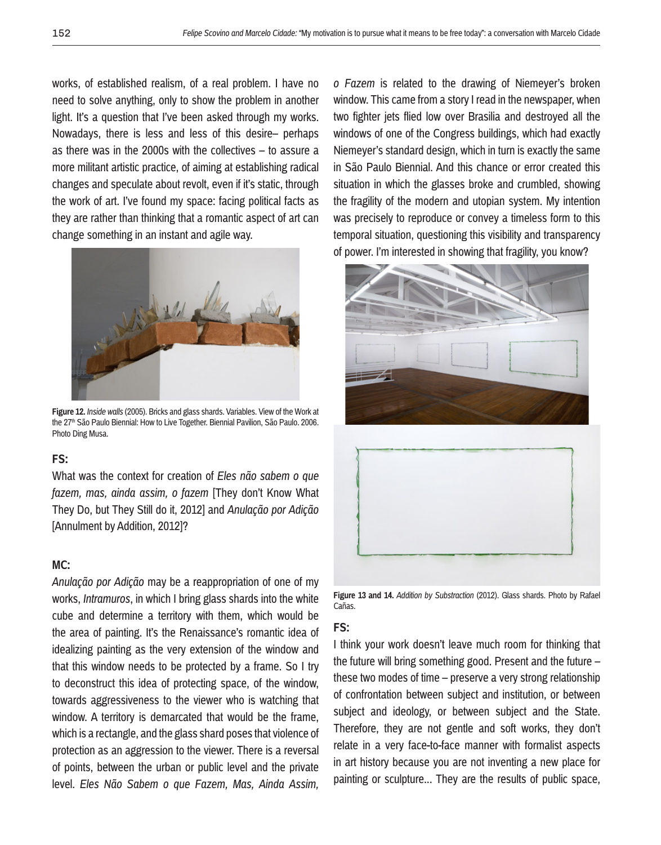works, of established realism, of a real problem. I have no need to solve anything, only to show the problem in another light. It's a question that I've been asked through my works. Nowadays, there is less and less of this desire– perhaps as there was in the 2000s with the collectives – to assure a more militant artistic practice, of aiming at establishing radical changes and speculate about revolt, even if it's static, through the work of art. I've found my space: facing political facts as they are rather than thinking that a romantic aspect of art can change something in an instant and agile way.



**Figure 12.** *Inside walls* (2005). Bricks and glass shards. Variables. View of the Work at the 27<sup>th</sup> São Paulo Biennial: How to Live Together. Biennial Pavilion, São Paulo. 2006. Photo Ding Musa.

## **FS:**

What was the context for creation of *Eles não sabem o que fazem, mas, ainda assim, o fazem* [They don't Know What They Do, but They Still do it, 2012] and *Anulação por Adição* [Annulment by Addition, 2012]?

## **MC:**

*Anulação por Adição* may be a reappropriation of one of my works, *Intramuros*, in which I bring glass shards into the white cube and determine a territory with them, which would be the area of painting. It's the Renaissance's romantic idea of idealizing painting as the very extension of the window and that this window needs to be protected by a frame. So I try to deconstruct this idea of protecting space, of the window, towards aggressiveness to the viewer who is watching that window. A territory is demarcated that would be the frame, which is a rectangle, and the glass shard poses that violence of protection as an aggression to the viewer. There is a reversal of points, between the urban or public level and the private level. *Eles Não Sabem o que Fazem, Mas, Ainda Assim,* 

*o Fazem* is related to the drawing of Niemeyer's broken window. This came from a story I read in the newspaper, when two fighter jets flied low over Brasilia and destroyed all the windows of one of the Congress buildings, which had exactly Niemeyer's standard design, which in turn is exactly the same in São Paulo Biennial. And this chance or error created this situation in which the glasses broke and crumbled, showing the fragility of the modern and utopian system. My intention was precisely to reproduce or convey a timeless form to this temporal situation, questioning this visibility and transparency of power. I'm interested in showing that fragility, you know?



**Figure 13 and 14.** *Addition by Substraction* (2012). Glass shards. Photo by Rafael Cañas.

## **FS:**

I think your work doesn't leave much room for thinking that the future will bring something good. Present and the future – these two modes of time – preserve a very strong relationship of confrontation between subject and institution, or between subject and ideology, or between subject and the State. Therefore, they are not gentle and soft works, they don't relate in a very face-to-face manner with formalist aspects in art history because you are not inventing a new place for painting or sculpture... They are the results of public space,